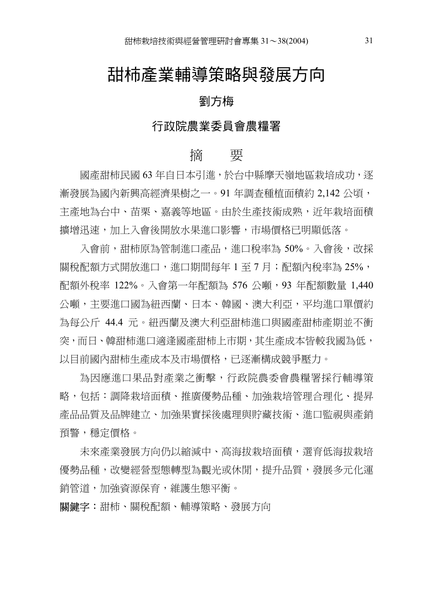## 甜柿產業輔導策略與發展方向

#### 劉方梅

#### 行政院農業委員會農糧署

#### 摘 要

國產甜柿民國 63 年自日本引淮,於台中縣摩天嶺地區栽培成功, 逐 漸發展為國內新興高經濟果樹之一。91 年調查種植面積約 2,142 公頃, 主產地為台中、苗栗、嘉義等地區。由於生產技術成熟,沂年栽培面積 擴增迅速,加㆖入會後開放㈬果進口影響,市場價格已明顯低落。

入會前,甜柿原為管制淮口產品,淮口稅率為 50%。入會後,改採 關稅配額方式開放淮口,淮口期間每年 1 至 7 月;配額內稅率為 25%, 配額外稅率 122%。入會第㆒年配額為 576 公噸,93 年配額數量 1,440 公噸,主要進口國為紐西蘭、日本、韓國、澳大利亞,平均進口單價約 為每公斤 44.4 元。紐西蘭及澳大利亞甜柿進口與國產甜柿產期並不衝 突,而日、韓甜柿進口滴逢國產甜柿上市期,其牛產成本皆較我國為低, 以目前國內甜柿生產成本及市場價格,已逐漸構成競爭壓力。

為因應進口果品對產業之衝擊,行政院農委會農糧署採行輔導策 略,包括:調降栽培面積、推廣㊝勢品種、加強栽培管理合理化、提昇 產品品質及品牌建立、加強果實採後處理與貯藏技術、進口監視與產銷 預警,穩定價格。

未來產業發展方向仍以縮減中、高海拔栽培面積,選育低海拔栽培 優勢品種,改變經營型態轉型為觀光或休閒,提升品質,發展多元化運 銷管道,加強資源保育,維護生態平衡。

關鍵字:甜柿、關稅配額、輔導策略、發展方向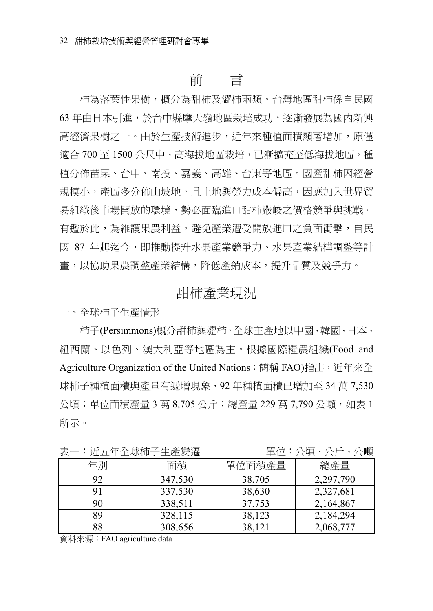## 前 言

柿為落葉性果樹,概分為甜柿及澀柿兩類。台灣地區甜柿係自民國 63 年由日本引進,於台中縣摩天嶺地區栽培成功,逐漸發展為國內新興 高經濟果樹之一。由於生產技術進步,近年來種植面積顯著增加,原僅 適合 700 至 1500 公尺中、高海拔地區栽培,已漸擴充至低海拔地區,種 植分佈苗栗、台中、南投、嘉義、高雄、台東等地區。國產甜柿因經營 規模小,產區多分佈山坡地,且十地與勞力成本偏高,因應加入世界貿 易組織後市場開放的環境,勢必面臨進口甜柿嚴峻之價格競爭與挑戰。 有鑑於此,為維護果農利益,避免產業遭受開放進口之負面衝擊,自民 國 87 年起迄今,即推動提升水果產業競爭力、水果產業結構調整等計 書,以協助果農調整產業結構,降低產銷成本,提升品質及競爭力。

#### 甜柿產業現況

㆒、全球柿子生產情形

柿子(Persimmons)概分甜柿與澀柿,全球主產地以中國、韓國、日本、 紐西蘭、以色列、澳大利亞等地區為主。根據國際糧農組織(Food and Agriculture Organization of the United Nations;簡稱 FAO)指出, 近年來全 球柿子種植面積與產量有遞增現象,92 年種植面積已增加至 34 萬 7,530 公頃;單位面積產量 3 萬 8,705 公斤;總產量 229 萬 7,790 公噸,如表 1 所示。

| 巜  |         | 事世・公唄・公川・公暇 |           |
|----|---------|-------------|-----------|
| 年別 | 面積      | 單位面積產量      | 總產量       |
| 92 | 347,530 | 38,705      | 2,297,790 |
|    | 337,530 | 38,630      | 2,327,681 |
| 90 | 338,511 | 37,753      | 2,164,867 |
| 89 | 328,115 | 38,123      | 2,184,294 |
| 88 | 308,656 | 38,121      | 2,068,777 |

表㆒:近㈤年全球柿子生產變遷 單位:公頃、公斤、公噸

㈾料來源:FAO agriculture data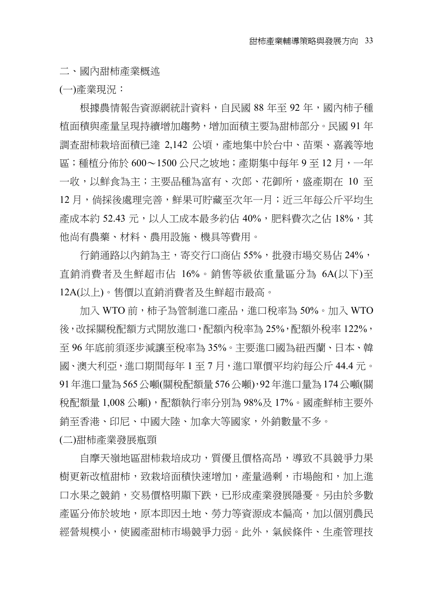二、國內甜柿產業概述

(㆒)產業現況:

根據農情報告資源網統計資料,自民國 88 年至 92 年,國內柿子種 植面積與產量呈現持續增加趨勢,增加面積主要為甜柿部分。民國 91 年 調查甜柿栽培面積已達 2,142 公頃,產地集中於台中、苗栗、嘉義等地 區;種植分佈於 600〜1500 公尺之坡地;產期集中每年 9 至 12 月,一年 一收,以鮮食為主;主要品種為富有、次郎、花御所,盛產期在 10 至 12 月,倘採後處理宗善,鮮果可貯藏至次年一月;沂三年每公斤平均生 產成本約 52.43 元,以人工成本最多約佔 40%,肥料費次之佔 18%,其 他尚㈲農藥、材料、農用設施、機具等費用。

行銷通路以內銷為主,寄交行口商佔 55%,批發市場交易佔 24%, 直銷消費者及生鮮超市佔 16%。銷售等級依重量區分為 6A(以下)至 12A(以上)。售價以直銷消費者及生鮮超市最高。

 $m \lambda$  WTO 前,柿子為管制淮口產品,淮口稅率為 50%。加入 WTO 後,改採關稅配額方式開放進口,配額內稅率為 25%,配額外稅率 122%, 至96年底前須逐步減讓至稅率為 35%。主要淮口國為紐西蘭、日本、韓 國、澳大利亞,進口期間每年 1 ㉃ 7 ㈪,進口單價平均約每公斤 44.4 元。 91年進口量為565公噸(關稅配額量576公噸),92年進口量為174公噸(關 稅配額量 1,008 公噸),配額執行率分別為 98%及 17%。國產鮮柿主要外 銷至香港、印尼、中國大陸、加拿大等國家,外銷數量不多。

(二)甜柿產業發展瓶頸

自摩天嶺地區甜柿栽培成功,質優且價格高昂,導致不具競爭力果 樹更新改植甜柿,致栽培面積快速增加,產量過剩,市場餉和,加上進 口水果之競銷,交易價格明顯下跌,已形成產業發展隱憂。另由於多數 產區分佈於坡地,原本即因十地、勞力等資源成本偏高,加以個別農民 經營規模小,使國產甜柿市場競爭力弱。此外,氣候條件、生產管理技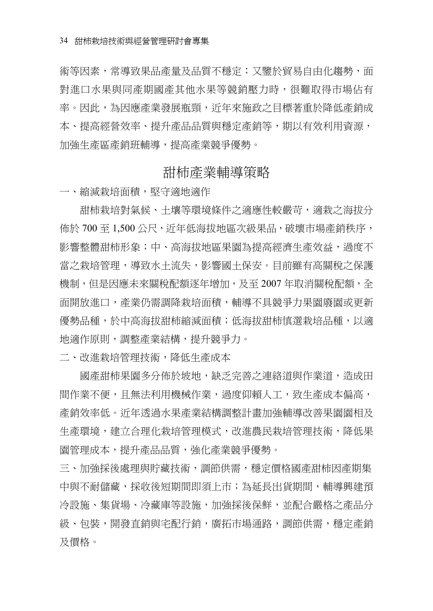術等因素,常導致果品產量及品質不穩定;又鑒於貿易自由化趨勢,面 對淮口水果與同產期國產其他水果等競銷壓力時,很難取得市場佔有 率。因此,為因應產業發展瓶頸,近年來施政之目標著重於降低產銷成 本、提高經營效率、提升產品品質與穩定產銷等,期以有效利用資源, 加強生產區產銷班輔導,提高產業競爭㊝勢。

#### 甜柿產業輔導策略

一、縮減栽培面積,堅守適地適作

甜柿栽培對氣候、土壤等環境條件之適應性較嚴苛,適栽之海拔分 佈於 700 至 1,500 公尺,近年低海拔地區次級果品,破壞市場產銷秩序, 影響整體甜柿形象;中、高海拔地區果園為提高經濟生產效益,過度不 當之栽培管理,導致水+流失,影響國+保安。目前雖有高關稅之保護 機制,但是因應未來關稅配額逐年增加,及至 2007 年取消關稅配額,全 面開放進口,產業仍需調降栽培面積,輔導不具競爭力果園廢園或更新 優勢品種,於中高海拔甜柿縮減面積;低海拔甜柿慎選栽培品種,以適 ㆞㊜作原則,調整產業結構,提升競爭力。

二、改進栽培管理技術,降低生產成本

國產甜柿果園多分佈於坡地,缺乏完善之連絡道與作業道,造成田 間作業不便,且無法利用機械作業,過度仰賴人工,致生產成本偏高, 產銷效率低。沂年透過水果產業結構調整計畫加強輔導改善果園園相及 生產環境,建立合理化栽培管理模式,改進農民栽培管理技術,降低果 園管理成本,提升產品品質,強化產業競爭㊝勢。

三、加強採後處理與貯藏技術,調節供需,穩定價格國產甜柿因產期集 中與不耐儲藏,採收後短期間即須上市;為延長出貨期間,輔導興建預 冷設施、集貨場、冷藏庫等設施,加強採後保鮮,並配合嚴格之產品分 級、包裝,開發直銷與宅配行銷,廣拓市場通路,調節供需,穩定產銷 及價格。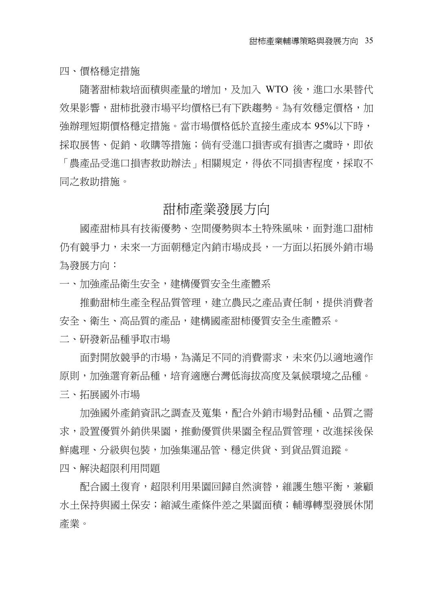㆕、價格穩定措施

隨著甜柿栽培面積與產量的增加,及加入 WTO 後,進口水果替代 效果影響,甜柿批發市場平均價格已有下跌趨勢。為有效穩定價格,加 強辦理短期價格穩定措施。當市場價格低於直接生產成本 95%以下時, 採取展售、促銷、收購等措施;倘有受淮口損害或有損害之虞時,即依

「農產品受進口損害救助辦法」相關規定,得依不同損害程度,採取不 同之救助措施。

#### 甜柿產業發展方向

國產甜柿具有技術優勢、空間優勢與本十特殊風味,面對進口甜柿. 仍有競爭力,未來一方面朝穩定內銷市場成長,一方面以拓展外銷市場 為發展方向:

一、加強產品衛生安全,建構優質安全生產體系

推動甜柿生產全程品質管理,建立農民之產品責任制,提供消費者 安全、衛生、高品質的產品,建構國產甜柿優質安全生產體系。

二、研發新品種爭取市場

面對開放競爭的市場,為滿足不同的消費需求,未來仍以適地適作 原則,加強選育新品種,培育適應台灣低海拔高度及氣候環境之品種。 三、拓展國外市場

加強國外產銷資訊之調查及蒐集,配合外銷市場對品種、品質之需 求,設置優質外銷供果園,推動優質供果園全程品質管理,改進採後保 鮮處理、分級與包裝,加強集運品管、穩定供貨、到貨品質追蹤。

㆕、解決超限利用問題

配合國十復育,超限利用果園回歸自然演替,維護生態平衡,兼顧 水土保持與國土保安;縮減生產條件差之果園面積;輔導轉型發展休閒 產業。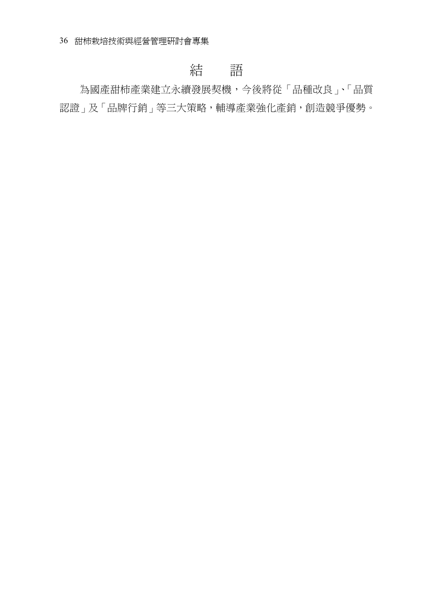## 結 語

為國產甜柿產業建立永續發展契機,今後將從「品種改良」、「品質 認證」及「品牌行銷」等三大策略,輔導產業強化產銷,創造競爭優勢。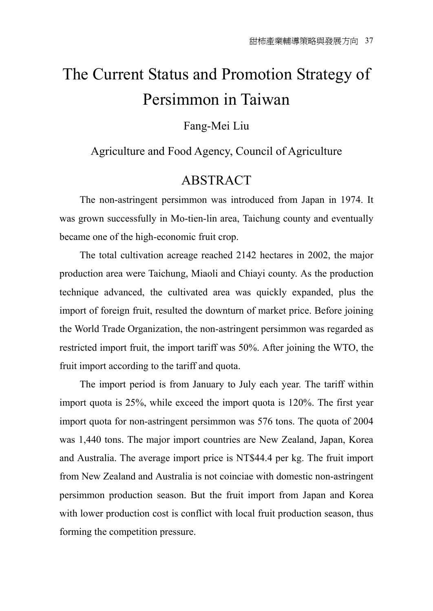# The Current Status and Promotion Strategy of Persimmon in Taiwan

Fang-Mei Liu

#### Agriculture and Food Agency, Council of Agriculture

### ABSTRACT

The non-astringent persimmon was introduced from Japan in 1974. It was grown successfully in Mo-tien-lin area, Taichung county and eventually became one of the high-economic fruit crop.

The total cultivation acreage reached 2142 hectares in 2002, the major production area were Taichung, Miaoli and Chiayi county. As the production technique advanced, the cultivated area was quickly expanded, plus the import of foreign fruit, resulted the downturn of market price. Before joining the World Trade Organization, the non-astringent persimmon was regarded as restricted import fruit, the import tariff was 50%. After joining the WTO, the fruit import according to the tariff and quota.

The import period is from January to July each year. The tariff within import quota is 25%, while exceed the import quota is 120%. The first year import quota for non-astringent persimmon was 576 tons. The quota of 2004 was 1,440 tons. The major import countries are New Zealand, Japan, Korea and Australia. The average import price is NT\$44.4 per kg. The fruit import from New Zealand and Australia is not coinciae with domestic non-astringent persimmon production season. But the fruit import from Japan and Korea with lower production cost is conflict with local fruit production season, thus forming the competition pressure.